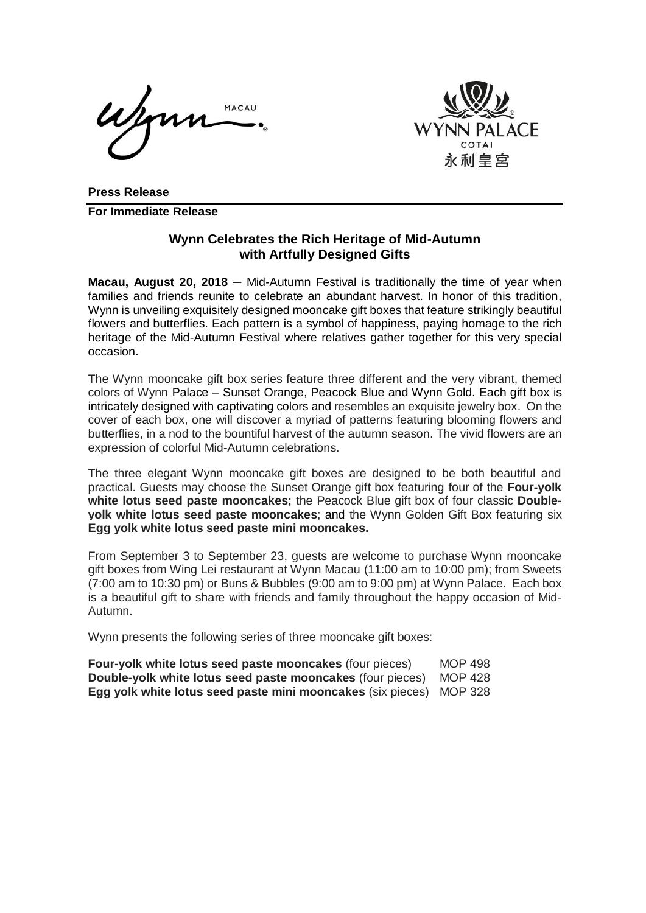MACAU



**Press Release For Immediate Release**

## **Wynn Celebrates the Rich Heritage of Mid-Autumn with Artfully Designed Gifts**

**Macau, August 20, 2018** — Mid-Autumn Festival is traditionally the time of year when families and friends reunite to celebrate an abundant harvest. In honor of this tradition, Wynn is unveiling exquisitely designed mooncake gift boxes that feature strikingly beautiful flowers and butterflies. Each pattern is a symbol of happiness, paying homage to the rich heritage of the Mid-Autumn Festival where relatives gather together for this very special occasion.

The Wynn mooncake gift box series feature three different and the very vibrant, themed colors of Wynn Palace – Sunset Orange, Peacock Blue and Wynn Gold. Each gift box is intricately designed with captivating colors and resembles an exquisite jewelry box. On the cover of each box, one will discover a myriad of patterns featuring blooming flowers and butterflies, in a nod to the bountiful harvest of the autumn season. The vivid flowers are an expression of colorful Mid-Autumn celebrations.

The three elegant Wynn mooncake gift boxes are designed to be both beautiful and practical. Guests may choose the Sunset Orange gift box featuring four of the **Four-yolk white lotus seed paste mooncakes;** the Peacock Blue gift box of four classic **Doubleyolk white lotus seed paste mooncakes**; and the Wynn Golden Gift Box featuring six **Egg yolk white lotus seed paste mini mooncakes.**

From September 3 to September 23, guests are welcome to purchase Wynn mooncake gift boxes from Wing Lei restaurant at Wynn Macau (11:00 am to 10:00 pm); from Sweets (7:00 am to 10:30 pm) or Buns & Bubbles (9:00 am to 9:00 pm) at Wynn Palace. Each box is a beautiful gift to share with friends and family throughout the happy occasion of Mid-Autumn.

Wynn presents the following series of three mooncake gift boxes:

| Four-yolk white lotus seed paste mooncakes (four pieces)                   | MOP 498 |
|----------------------------------------------------------------------------|---------|
| <b>Double-yolk white lotus seed paste mooncakes (four pieces)</b> MOP 428  |         |
| <b>Egg yolk white lotus seed paste mini mooncakes (six pieces) MOP 328</b> |         |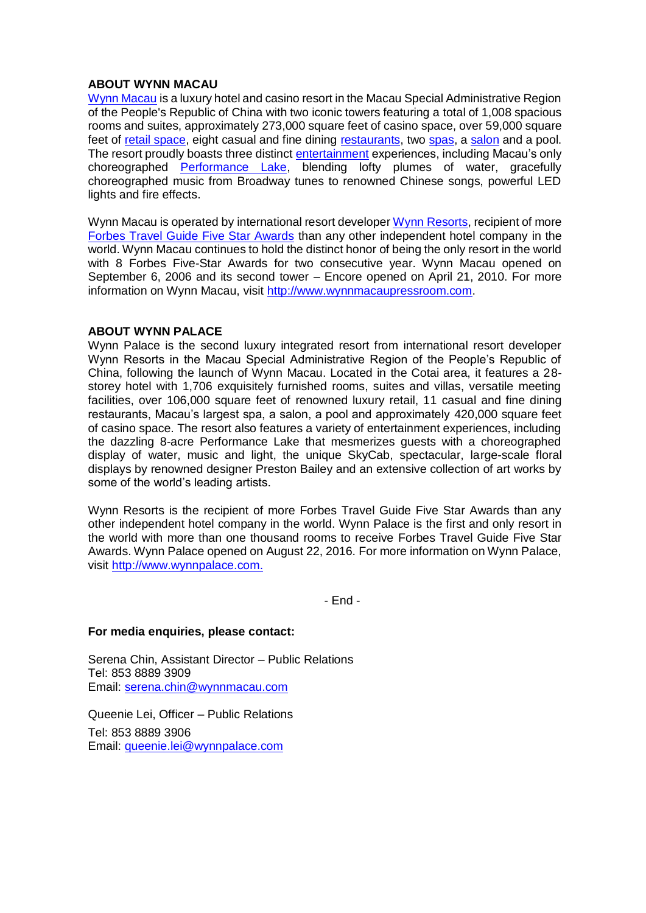## **ABOUT WYNN MACAU**

[Wynn Macau](http://www.wynnmacau.com/) is a luxury hotel and casino resort in the Macau Special Administrative Region of the People's Republic of China with two iconic towers featuring a total of 1,008 spacious rooms and suites, approximately 273,000 square feet of casino space, over 59,000 square feet of [retail space,](http://www.wynnmacau.com/en/shops) eight casual and fine dining [restaurants,](http://www.wynnmacau.com/en/restaurants-n-bars) two [spas,](http://www.wynnmacau.com/en/facilities-n-spas) a [salon](http://www.wynnmacau.com/en/facilities-n-spas/the-salon) and a pool. The resort proudly boasts three distinct [entertainment](http://www.wynnmacau.com/en/shows) experiences, including Macau's only choreographed [Performance Lake,](http://www.wynnmacau.com/en/shows/performance-lake) blending lofty plumes of water, gracefully choreographed music from Broadway tunes to renowned Chinese songs, powerful LED lights and fire effects.

Wynn Macau is operated by international resort developer [Wynn Resorts,](http://www.wynnresorts.com/) recipient of more [Forbes Travel Guide Five Star Awards](http://www.forbestravelguide.com/about/awardwinners) than any other independent hotel company in the world. Wynn Macau continues to hold the distinct honor of being the only resort in the world with 8 Forbes Five-Star Awards for two consecutive year. Wynn Macau opened on September 6, 2006 and its second tower – Encore opened on April 21, 2010. For more information on Wynn Macau, visit [http://www.wynnmacaupressroom.com.](http://www.wynnmacaupressroom.com/)

## **ABOUT WYNN PALACE**

Wynn Palace is the second luxury integrated resort from international resort developer Wynn Resorts in the Macau Special Administrative Region of the People's Republic of China, following the launch of Wynn Macau. Located in the Cotai area, it features a 28 storey hotel with 1,706 exquisitely furnished rooms, suites and villas, versatile meeting facilities, over 106,000 square feet of renowned luxury retail, 11 casual and fine dining restaurants, Macau's largest spa, a salon, a pool and approximately 420,000 square feet of casino space. The resort also features a variety of entertainment experiences, including the dazzling 8-acre Performance Lake that mesmerizes guests with a choreographed display of water, music and light, the unique SkyCab, spectacular, large-scale floral displays by renowned designer Preston Bailey and an extensive collection of art works by some of the world's leading artists.

Wynn Resorts is the recipient of more Forbes Travel Guide Five Star Awards than any other independent hotel company in the world. Wynn Palace is the first and only resort in the world with more than one thousand rooms to receive Forbes Travel Guide Five Star Awards. Wynn Palace opened on August 22, 2016. For more information on Wynn Palace, visit [http://www.wynnpalace.com.](http://www.wynnpalace.com/)

- End -

## **For media enquiries, please contact:**

Serena Chin, Assistant Director – Public Relations Tel: 853 8889 3909 Email: [serena.chin@wynnmacau.com](mailto:serena.chin@wynnmacau.com)

Queenie Lei, Officer – Public Relations Tel: 853 8889 3906 Email: [queenie.lei@wynnpalace.com](mailto:queenie.lei@wynnpalace.com)